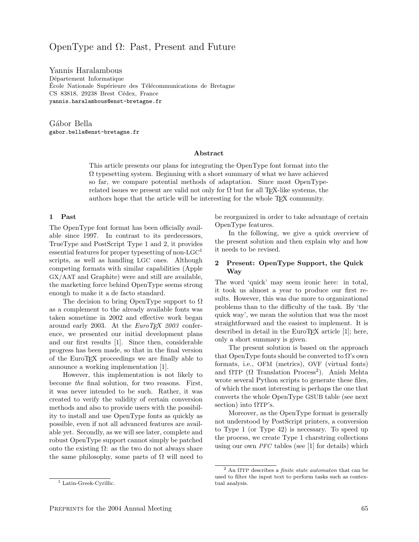# OpenType and Ω: Past, Present and Future

Yannis Haralambous Département Informatique École Nationale Supérieure des Télécommunications de Bretagne CS 83818, 29238 Brest Cédex, France yannis.haralambous@enst-bretagne.fr

Gábor Bella gabor.bella@enst-bretagne.fr

#### Abstract

This article presents our plans for integrating the OpenType font format into the  $\Omega$  typesetting system. Beginning with a short summary of what we have achieved so far, we compare potential methods of adaptation. Since most OpenTyperelated issues we present are valid not only for  $\Omega$  but for all T<sub>E</sub>X-like systems, the authors hope that the article will be interesting for the whole TEX community.

#### 1 Past

The OpenType font format has been officially available since 1997. In contrast to its predecessors, TrueType and PostScript Type 1 and 2, it provides essential features for proper typesetting of non- $LGC<sup>1</sup>$ scripts, as well as handling LGC ones. Although competing formats with similar capabilities (Apple GX/AAT and Graphite) were and still are available, the marketing force behind OpenType seems strong enough to make it a de facto standard.

The decision to bring OpenType support to  $\Omega$ as a complement to the already available fonts was taken sometime in 2002 and effective work began around early 2003. At the  $EuroT<sub>F</sub>X$  2003 conference, we presented our initial development plans and our first results [1]. Since then, considerable progress has been made, so that in the final version of the EuroTEX proceedings we are finally able to announce a working implementation [1].

However, this implementation is not likely to become the final solution, for two reasons. First, it was never intended to be such. Rather, it was created to verify the validity of certain conversion methods and also to provide users with the possibility to install and use OpenType fonts as quickly as possible, even if not all advanced features are available yet. Secondly, as we will see later, complete and robust OpenType support cannot simply be patched onto the existing  $\Omega$ : as the two do not always share the same philosophy, some parts of  $\Omega$  will need to be reorganized in order to take advantage of certain OpenType features.

In the following, we give a quick overview of the present solution and then explain why and how it needs to be revised.

#### 2 Present: OpenType Support, the Quick Way

The word 'quick' may seem ironic here: in total, it took us almost a year to produce our first results. However, this was due more to organizational problems than to the difficulty of the task. By 'the quick way', we mean the solution that was the most straightforward and the easiest to implement. It is described in detail in the EuroT<sub>E</sub>X article  $[1]$ ; here, only a short summary is given.

The present solution is based on the approach that OpenType fonts should be converted to  $\Omega$ 's own formats, i.e., OFM (metrics), OVF (virtual fonts) and  $\Omega \text{TP}$  ( $\Omega$  Translation Process<sup>2</sup>). Anish Mehta wrote several Python scripts to generate these files, of which the most interesting is perhaps the one that converts the whole OpenType GSUB table (see next section) into  $\Omega T P$ 's.

Moreover, as the OpenType format is generally not understood by PostScript printers, a conversion to Type 1 (or Type 42) is necessary. To speed up the process, we create Type 1 charstring collections using our own PFC tables (see [1] for details) which

<sup>&</sup>lt;sup>1</sup> Latin-Greek-Cyrillic.

<sup>&</sup>lt;sup>2</sup> An  $Ω$ TP describes a *finite state automaton* that can be used to filter the input text to perform tasks such as contextual analysis.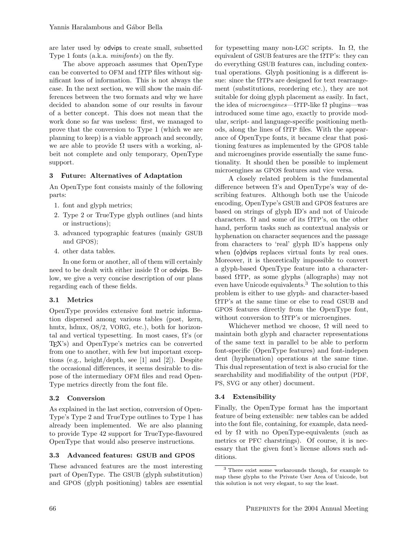are later used by odvips to create small, subsetted Type 1 fonts (a.k.a. minifonts) on the fly.

The above approach assumes that OpenType can be converted to OFM and  $\Omega$ TP files without significant loss of information. This is not always the case. In the next section, we will show the main differences between the two formats and why we have decided to abandon some of our results in favour of a better concept. This does not mean that the work done so far was useless: first, we managed to prove that the conversion to Type 1 (which we are planning to keep) is a viable approach and secondly, we are able to provide  $\Omega$  users with a working, albeit not complete and only temporary, OpenType support.

### 3 Future: Alternatives of Adaptation

An OpenType font consists mainly of the following parts:

- 1. font and glyph metrics;
- 2. Type 2 or TrueType glyph outlines (and hints or instructions);
- 3. advanced typographic features (mainly GSUB and GPOS);
- 4. other data tables.

In one form or another, all of them will certainly need to be dealt with either inside  $\Omega$  or odvips. Below, we give a very concise description of our plans regarding each of these fields.

# 3.1 Metrics

OpenType provides extensive font metric information dispersed among various tables (post, kern, hmtx, hdmx, OS/2, VORG, etc.), both for horizontal and vertical typesetting. In most cases,  $\Omega$ 's (or TEX's) and OpenType's metrics can be converted from one to another, with few but important exceptions (e.g., height/depth, see [1] and [2]). Despite the occasional differences, it seems desirable to dispose of the intermediary OFM files and read Open-Type metrics directly from the font file.

# 3.2 Conversion

As explained in the last section, conversion of Open-Type's Type 2 and TrueType outlines to Type 1 has already been implemented. We are also planning to provide Type 42 support for TrueType-flavoured OpenType that would also preserve instructions.

# 3.3 Advanced features: GSUB and GPOS

These advanced features are the most interesting part of OpenType. The GSUB (glyph substitution) and GPOS (glyph positioning) tables are essential for typesetting many non-LGC scripts. In  $\Omega$ , the equivalent of GSUB features are the  $\Omega$ TP's: they can do everything GSUB features can, including contextual operations. Glyph positioning is a different issue: since the  $\Omega$ TPs are designed for text rearrangement (substitutions, reordering etc.), they are not suitable for doing glyph placement as easily. In fact, the idea of *microengines*— $\Omega$ TP-like  $\Omega$  plugins—was introduced some time ago, exactly to provide modular, script- and language-specific positioning methods, along the lines of  $\Omega$ TP files. With the appearance of OpenType fonts, it became clear that positioning features as implemented by the GPOS table and microengines provide essentially the same functionality. It should then be possible to implement microengines as GPOS features and vice versa.

A closely related problem is the fundamental difference between  $\Omega$ 's and OpenType's way of describing features. Although both use the Unicode encoding, OpenType's GSUB and GPOS features are based on strings of glyph ID's and not of Unicode characters.  $\Omega$  and some of its  $\Omega$ TP's, on the other hand, perform tasks such as contextual analysis or hyphenation on character sequences and the passage from characters to 'real' glyph ID's happens only when (o) dvips replaces virtual fonts by real ones. Moreover, it is theoretically impossible to convert a glyph-based OpenType feature into a characterbased  $\Omega$ TP, as some glyphs (allographs) may not even have Unicode equivalents.<sup>3</sup> The solution to this problem is either to use glyph- and character-based ΩTP's at the same time or else to read GSUB and GPOS features directly from the OpenType font, without conversion to  $\Omega T P$ 's or microengines.

Whichever method we choose,  $\Omega$  will need to maintain both glyph and character representations of the same text in parallel to be able to perform font-specific (OpenType features) and font-indepen dent (hyphenation) operations at the same time. This dual representation of text is also crucial for the searchability and modifiability of the output (PDF, PS, SVG or any other) document.

# 3.4 Extensibility

Finally, the OpenType format has the important feature of being extensible: new tables can be added into the font file, containing, for example, data needed by  $\Omega$  with no OpenType-equivalents (such as metrics or PFC charstrings). Of course, it is necessary that the given font's license allows such additions.

<sup>3</sup> There exist some workarounds though, for example to map these glyphs to the Private User Area of Unicode, but this solution is not very elegant, to say the least.